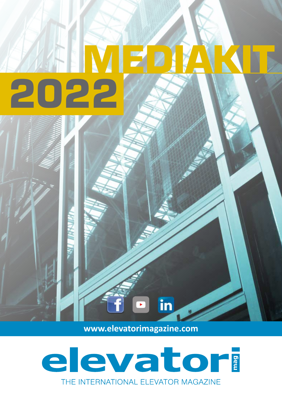# **ME** 2022

## **www.elevatorimagazine.com**

in

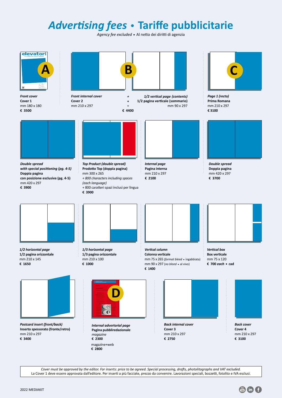# *Advertising fees* • **Tariffe pubblicitarie**

*Agency fee excluded* • Al netto dei diritti di agenzia



*Cover must be approved by the editor. For inserts: price to be agreed. Special processing, drafts, photolitographs and VAT excluded.* La Cover 1 deve essere approvata dall'editore. Per inserti a più facciate, prezzo da convenire. Lavorazioni speciali, bozzetti, fotolito e IVA esclusi.

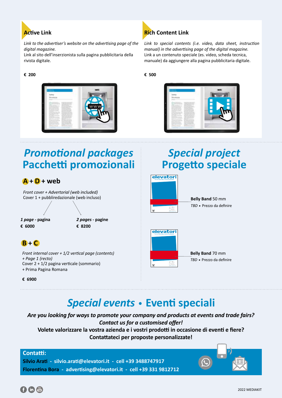

*Link to the advertiser's website on the advertising page of the digital magazine.*

Link al sito dell'inserzionista sulla pagina pubblicitaria della rivista digitale.

#### **€ 200**





*Link to special contents (i.e. video, data sheet, instruction manual) in the advertising page of the digital magazine.* Link a un contenuto speciale (es. video, scheda tecnica, manuale) da aggiungere alla pagina pubblicitaria digitale.

**€ 500**



## *Promotional packages* **Pacchetti promozionali**

### **A + D + web**

*Front cover + Advertorial (web included)*  Cover 1 + pubbliredazionale (web incluso)

*1 page -* **pagina € 6000**

*2 pages -* **pagine € 8200**

## **B + C**

*Front internal cover + 1/2 vertical page (contents) + Page 1 (recto)*  Cover 2 + 1/2 pagina verticale (sommario) + Prima Pagina Romana

**€ 6900**

# *Special project* **Progetto speciale**



**Belly Band** 50 mm *TBD* • Prezzo da definire



**Belly Band** 70 mm *TBD* • Prezzo da definire

## *Special events* • **Eventi speciali**

*Are you looking for ways to promote your company and products at events and trade fairs? Contact us for a customised offer!* **Volete valorizzare la vostra azienda e i vostri prodotti in occasione di eventi e fiere? Contattateci per proposte personalizzate!**

| Contattated per proposte personalizzate:                                                                    |  |
|-------------------------------------------------------------------------------------------------------------|--|
| - silvio.arati@elevatori.it - cell +39 3488747917<br>Bora - advertising@elevatori.it - cell +39 331 9812712 |  |
|                                                                                                             |  |



**Contatti: Silvio Arati Florentina**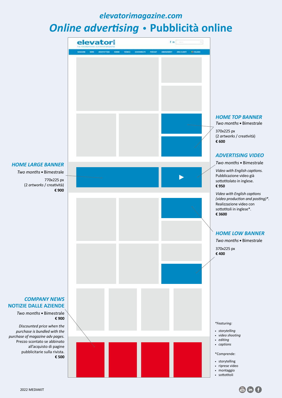## *elevatorimagazine.com*

# *Online advertising* • **Pubblicità online**



#### *HOME TOP BANNER*

*Two months* Bimestrale 370x225 px (2 *artworks* / creatività) **€ 600**

#### *ADVERTISING VIDEO*

*Two months* Bimestrale

*Video with English captions.*  Pubblicazione video già sottotitolato in inglese. **€ 950**

*Video with English captions (video production and posting)\*.* Realizzazione video con sottotitoli in inglese\*. **€ 3600**

#### *HOME LOW BANNER*

*Two months* Bimestrale

370x225 px **€ 400**

#### *\*Featuring:*

- *storytelling*
- *video shooting editing*
- *captions*
- \*Comprende:
- storytelling
- riprese video • montaggio
- sottotitoli



**NOTIZIE DALLE AZIENDE**

*Two months* Bimestrale **€ 900**

*Discounted price when the purchase is bundled with the purchase of magazine adv pages.* Prezzo scontato se abbinato all'acquisto di pagine pubblicitarie sulla rivista. **€ 500**

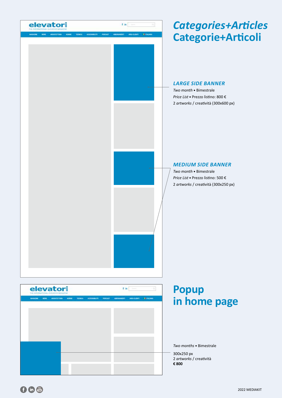